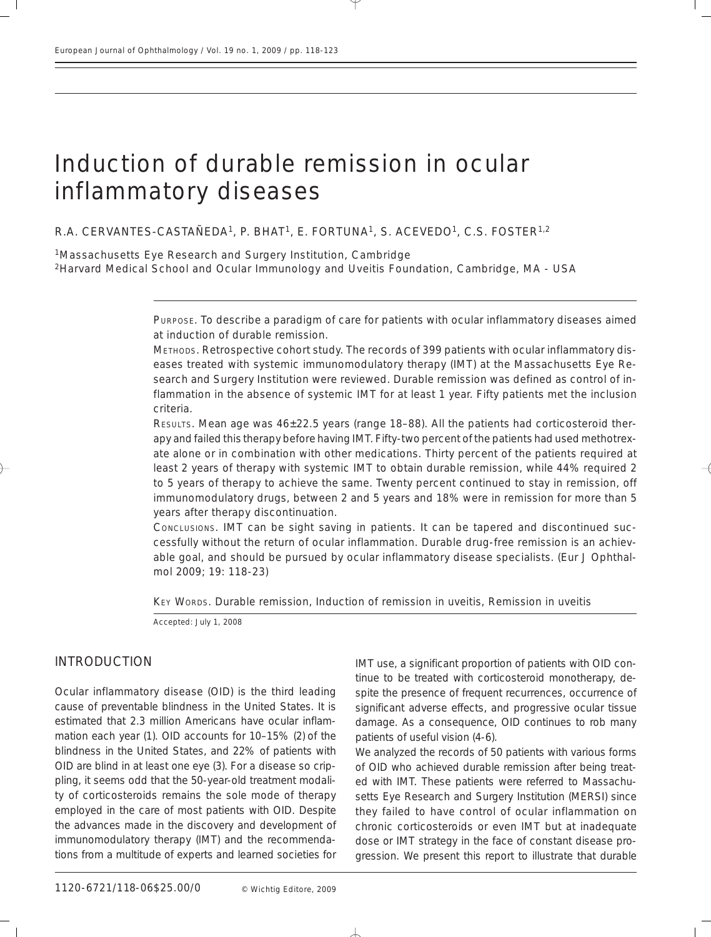# Induction of durable remission in ocular inflammatory diseases

*R.A. CERVANTES-CASTAÑEDA1, P. BHAT1, E. FORTUNA1, S. ACEVEDO1, C.S. FOSTER1,2*

1Massachusetts Eye Research and Surgery Institution, Cambridge 2Harvard Medical School and Ocular Immunology and Uveitis Foundation, Cambridge, MA - USA

> PURPOSE. *To describe a paradigm of care for patients with ocular inflammatory diseases aimed at induction of durable remission.*

> METHODS*. Retrospective cohort study. The records of 399 patients with ocular inflammatory diseases treated with systemic immunomodulatory therapy (IMT) at the Massachusetts Eye Research and Surgery Institution were reviewed. Durable remission was defined as control of inflammation in the absence of systemic IMT for at least 1 year. Fifty patients met the inclusion criteria.*

> RESULTS*. Mean age was 46±22.5 years (range 18–88). All the patients had corticosteroid therapy and failed this therapy before having IMT. Fifty-two percent of the patients had used methotrexate alone or in combination with other medications. Thirty percent of the patients required at least 2 years of therapy with systemic IMT to obtain durable remission, while 44% required 2 to 5 years of therapy to achieve the same. Twenty percent continued to stay in remission, off immunomodulatory drugs, between 2 and 5 years and 18% were in remission for more than 5 years after therapy discontinuation.*

> CONCLUSIONS*. IMT can be sight saving in patients. It can be tapered and discontinued successfully without the return of ocular inflammation. Durable drug-free remission is an achievable goal, and should be pursued by ocular inflammatory disease specialists. (Eur J Ophthalmol 2009; 19: 118-23)*

KEY WORDS. *Durable remission, Induction of remission in uveitis, Remission in uveitis*

*Accepted: July 1, 2008*

## INTRODUCTION

Ocular inflammatory disease (OID) is the third leading cause of preventable blindness in the United States. It is estimated that 2.3 million Americans have ocular inflammation each year (1). OID accounts for 10–15% (2) of the blindness in the United States, and 22% of patients with OID are blind in at least one eye (3). For a disease so crippling, it seems odd that the 50-year-old treatment modality of corticosteroids remains the sole mode of therapy employed in the care of most patients with OID. Despite the advances made in the discovery and development of immunomodulatory therapy (IMT) and the recommendations from a multitude of experts and learned societies for IMT use, a significant proportion of patients with OID continue to be treated with corticosteroid monotherapy, despite the presence of frequent recurrences, occurrence of significant adverse effects, and progressive ocular tissue damage. As a consequence, OID continues to rob many patients of useful vision (4-6).

We analyzed the records of 50 patients with various forms of OID who achieved durable remission after being treated with IMT. These patients were referred to Massachusetts Eye Research and Surgery Institution (MERSI) since they failed to have control of ocular inflammation on chronic corticosteroids or even IMT but at inadequate dose or IMT strategy in the face of constant disease progression. We present this report to illustrate that durable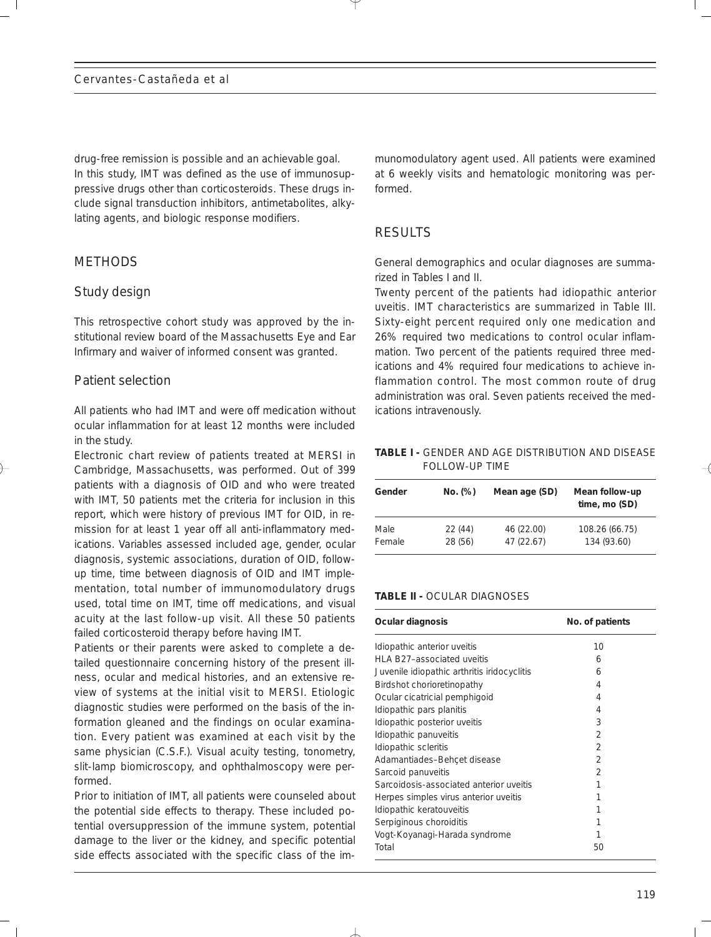drug-free remission is possible and an achievable goal. In this study, IMT was defined as the use of immunosuppressive drugs other than corticosteroids. These drugs include signal transduction inhibitors, antimetabolites, alkylating agents, and biologic response modifiers.

# **METHODS**

# *Study design*

This retrospective cohort study was approved by the institutional review board of the Massachusetts Eye and Ear Infirmary and waiver of informed consent was granted.

## *Patient selection*

All patients who had IMT and were off medication without ocular inflammation for at least 12 months were included in the study.

Electronic chart review of patients treated at MERSI in Cambridge, Massachusetts, was performed. Out of 399 patients with a diagnosis of OID and who were treated with IMT, 50 patients met the criteria for inclusion in this report, which were history of previous IMT for OID, in remission for at least 1 year off all anti-inflammatory medications. Variables assessed included age, gender, ocular diagnosis, systemic associations, duration of OID, followup time, time between diagnosis of OID and IMT implementation, total number of immunomodulatory drugs used, total time on IMT, time off medications, and visual acuity at the last follow-up visit. All these 50 patients failed corticosteroid therapy before having IMT.

Patients or their parents were asked to complete a detailed questionnaire concerning history of the present illness, ocular and medical histories, and an extensive review of systems at the initial visit to MERSI. Etiologic diagnostic studies were performed on the basis of the information gleaned and the findings on ocular examination. Every patient was examined at each visit by the same physician (C.S.F.). Visual acuity testing, tonometry, slit-lamp biomicroscopy, and ophthalmoscopy were performed.

Prior to initiation of IMT, all patients were counseled about the potential side effects to therapy. These included potential oversuppression of the immune system, potential damage to the liver or the kidney, and specific potential side effects associated with the specific class of the immunomodulatory agent used. All patients were examined at 6 weekly visits and hematologic monitoring was performed.

# **RESULTS**

General demographics and ocular diagnoses are summarized in Tables I and II.

Twenty percent of the patients had idiopathic anterior uveitis. IMT characteristics are summarized in Table III. Sixty-eight percent required only one medication and 26% required two medications to control ocular inflammation. Two percent of the patients required three medications and 4% required four medications to achieve inflammation control. The most common route of drug administration was oral. Seven patients received the medications intravenously.

**TABLE I -** GENDER AND AGE DISTRIBUTION AND DISEASE FOLLOW-UP TIME

| Gender | No. (%) | Mean age (SD) | Mean follow-up<br>time, mo (SD) |  |
|--------|---------|---------------|---------------------------------|--|
| Male   | 22(44)  | 46 (22.00)    | 108.26 (66.75)                  |  |
| Female | 28 (56) | 47 (22.67)    | 134 (93.60)                     |  |

#### **TABLE II -** OCULAR DIAGNOSES

| Ocular diagnosis                            | No. of patients |  |  |
|---------------------------------------------|-----------------|--|--|
| Idiopathic anterior uveitis                 | 10              |  |  |
| HLA B27-associated uveitis                  | 6               |  |  |
| Juvenile idiopathic arthritis iridocyclitis | 6               |  |  |
| Birdshot chorioretinopathy                  | 4               |  |  |
| Ocular cicatricial pemphigoid               | 4               |  |  |
| Idiopathic pars planitis                    | 4               |  |  |
| Idiopathic posterior uveitis                | 3               |  |  |
| Idiopathic panuveitis                       | $\mathfrak{D}$  |  |  |
| Idiopathic scleritis                        | $\mathfrak{D}$  |  |  |
| Adamantiades-Behcet disease                 | $\mathfrak{D}$  |  |  |
| Sarcoid panuveitis                          | $\mathcal{P}$   |  |  |
| Sarcoidosis-associated anterior uveitis     | 1               |  |  |
| Herpes simples virus anterior uveitis       | 1               |  |  |
| Idiopathic keratouveitis                    | 1               |  |  |
| Serpiginous choroiditis                     | 1               |  |  |
| Vogt-Koyanagi-Harada syndrome               | 1               |  |  |
| Total                                       | 50              |  |  |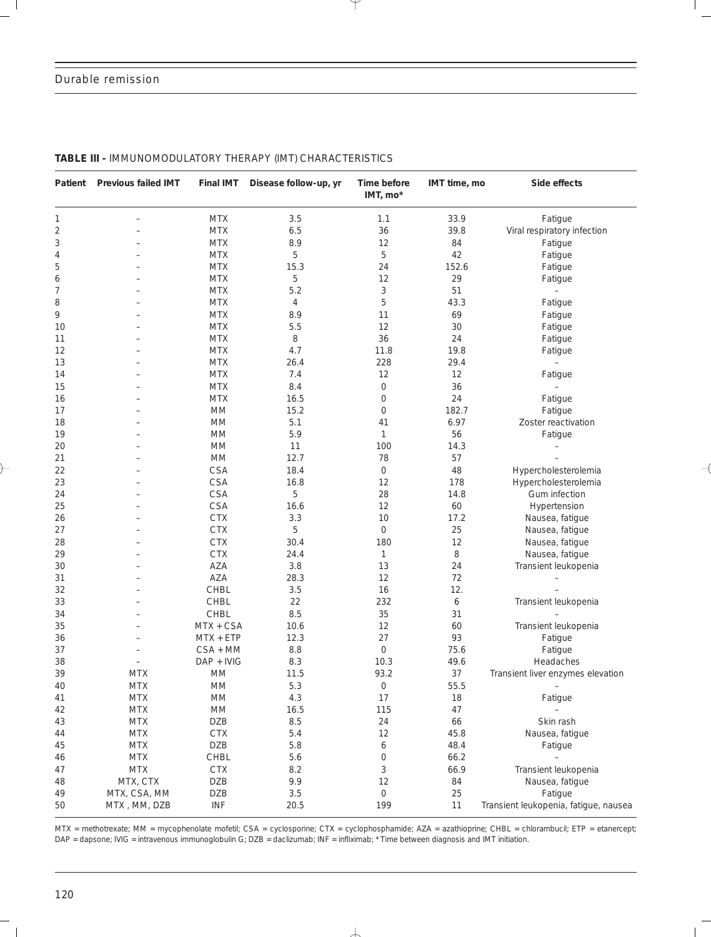#### *Durable remission*

| Patient    | <b>Previous failed IMT</b>  | <b>Final IMT</b> | Disease follow-up, yr | Time before<br>IMT, mo*   | IMT time, mo | Side effects                          |
|------------|-----------------------------|------------------|-----------------------|---------------------------|--------------|---------------------------------------|
| 1          |                             | <b>MTX</b>       | 3.5                   | 1.1                       | 33.9         | Fatigue                               |
| $\sqrt{2}$ |                             | <b>MTX</b>       | 6.5                   | 36                        | 39.8         | Viral respiratory infection           |
| 3          |                             | <b>MTX</b>       | 8.9                   | 12                        | 84           | Fatigue                               |
| 4          |                             | <b>MTX</b>       | 5                     | 5                         | 42           | Fatigue                               |
| 5          |                             | <b>MTX</b>       | 15.3                  | 24                        | 152.6        | Fatigue                               |
| 6          |                             | <b>MTX</b>       | 5                     | 12                        | 29           | Fatigue                               |
| 7          |                             | <b>MTX</b>       | 5.2                   | $\ensuremath{\mathsf{3}}$ | 51           | $\overline{\phantom{a}}$              |
| 8          |                             | <b>MTX</b>       | 4                     | 5                         | 43.3         | Fatigue                               |
| 9          |                             | <b>MTX</b>       | 8.9                   | 11                        | 69           | Fatigue                               |
| 10         |                             | <b>MTX</b>       | 5.5                   | 12                        | 30           | Fatigue                               |
| 11         |                             | <b>MTX</b>       | 8                     | 36                        | 24           | Fatigue                               |
| 12         |                             | <b>MTX</b>       | 4.7                   | 11.8                      | 19.8         | Fatigue                               |
| 13         |                             | <b>MTX</b>       | 26.4                  | 228                       | 29.4         |                                       |
| 14         |                             | <b>MTX</b>       | 7.4                   | 12                        | 12           | Fatigue                               |
| 15         |                             | <b>MTX</b>       | 8.4                   | $\boldsymbol{0}$          | 36           | $\overline{\phantom{0}}$              |
| 16         |                             | <b>MTX</b>       | 16.5                  | $\boldsymbol{0}$          | 24           | Fatigue                               |
| 17         |                             | MM               | 15.2                  | $\boldsymbol{0}$          | 182.7        | Fatigue                               |
| 18         |                             | <b>MM</b>        | 5.1                   | 41                        | 6.97         | Zoster reactivation                   |
| 19         |                             | MM               | 5.9                   | $\mathbf{1}$              | 56           | Fatigue                               |
| 20         |                             | <b>MM</b>        | 11                    | 100                       | 14.3         |                                       |
| 21         |                             | MM               | 12.7                  | 78                        | 57           |                                       |
| 22         |                             | <b>CSA</b>       | 18.4                  | 0                         | 48           | Hypercholesterolemia                  |
| 23         |                             | <b>CSA</b>       | 16.8                  | 12                        | 178          | Hypercholesterolemia                  |
| 24         |                             | CSA              | 5                     | 28                        | 14.8         | Gum infection                         |
| 25         |                             | <b>CSA</b>       | 16.6                  | 12                        | 60           | Hypertension                          |
| 26         |                             | <b>CTX</b>       | 3.3                   | 10                        | 17.2         | Nausea, fatigue                       |
| 27         |                             | <b>CTX</b>       | 5                     | $\mathsf{O}\xspace$       | 25           | Nausea, fatigue                       |
| 28         |                             | <b>CTX</b>       | 30.4                  | 180                       | 12           | Nausea, fatigue                       |
| 29         |                             | <b>CTX</b>       | 24.4                  | $\mathbf{1}$              | 8            | Nausea, fatigue                       |
| 30         |                             | AZA              | 3.8                   | 13                        | 24           | Transient leukopenia                  |
| 31         |                             | AZA              | 28.3                  | 12                        | 72           |                                       |
| 32         |                             | <b>CHBL</b>      | 3.5                   | 16                        | 12.          |                                       |
| 33         |                             | CHBL             | 22                    | 232                       | 6            | Transient leukopenia                  |
| 34         |                             | <b>CHBL</b>      | 8.5                   | 35                        | 31           |                                       |
| 35         |                             | MTX + CSA        | 10.6                  | 12                        | 60           | Transient leukopenia                  |
| 36         |                             | $MTX + ETP$      | 12.3                  | 27                        | 93           | Fatigue                               |
| 37         |                             | $CSA + MM$       | 8.8                   | $\mathbf 0$               | 75.6         | Fatigue                               |
| 38         |                             | DAP + IVIG       | 8.3                   | 10.3                      | 49.6         | Headaches                             |
| 39         | <b>MTX</b>                  | <b>MM</b>        | 11.5                  | 93.2                      | 37           | Transient liver enzymes elevation     |
| 40         | <b>MTX</b>                  | $\mathsf{MM}$    | 5.3                   | $\mathsf{O}\xspace$       | 55.5         | $\overline{\phantom{0}}$              |
| 41         | <b>MTX</b>                  | $\mathsf{MM}$    | 4.3                   | 17                        | 18           | Fatigue                               |
| 42         | $\ensuremath{\mathsf{MTX}}$ | $\mathsf{MM}$    | 16.5                  | 115                       | 47           |                                       |
| 43         | <b>MTX</b>                  | <b>DZB</b>       | $8.5\,$               | 24                        | 66           | Skin rash                             |
| 44         | <b>MTX</b>                  | <b>CTX</b>       | 5.4                   | 12                        | 45.8         | Nausea, fatigue                       |
| 45         | <b>MTX</b>                  | DZB              | 5.8                   | 6                         | 48.4         | Fatigue                               |
| 46         | MTX                         | CHBL             | 5.6                   | 0                         | 66.2         | $\equiv$                              |
| 47         | $\ensuremath{\mathsf{MTX}}$ | <b>CTX</b>       | 8.2                   | $\sqrt{3}$                | 66.9         | Transient leukopenia                  |
| 48         | MTX, CTX                    | <b>DZB</b>       | 9.9                   | 12                        | 84           | Nausea, fatigue                       |
| 49         | MTX, CSA, MM                | <b>DZB</b>       | 3.5                   | 0                         | 25           | Fatigue                               |
| 50         | MTX, MM, DZB                | <b>INF</b>       | 20.5                  | 199                       | 11           | Transient leukopenia, fatigue, nausea |

#### **TABLE III -** IMMUNOMODULATORY THERAPY (IMT) CHARACTERISTICS

MTX = methotrexate; MM = mycophenolate mofetil; CSA = cyclosporine; CTX = cyclophosphamide; AZA = azathioprine; CHBL = chlorambucil; ETP = etanercept; DAP = dapsone; IVIG = intravenous immunoglobulin G; DZB = daclizumab; INF = infliximab; \* Time between diagnosis and IMT initiation.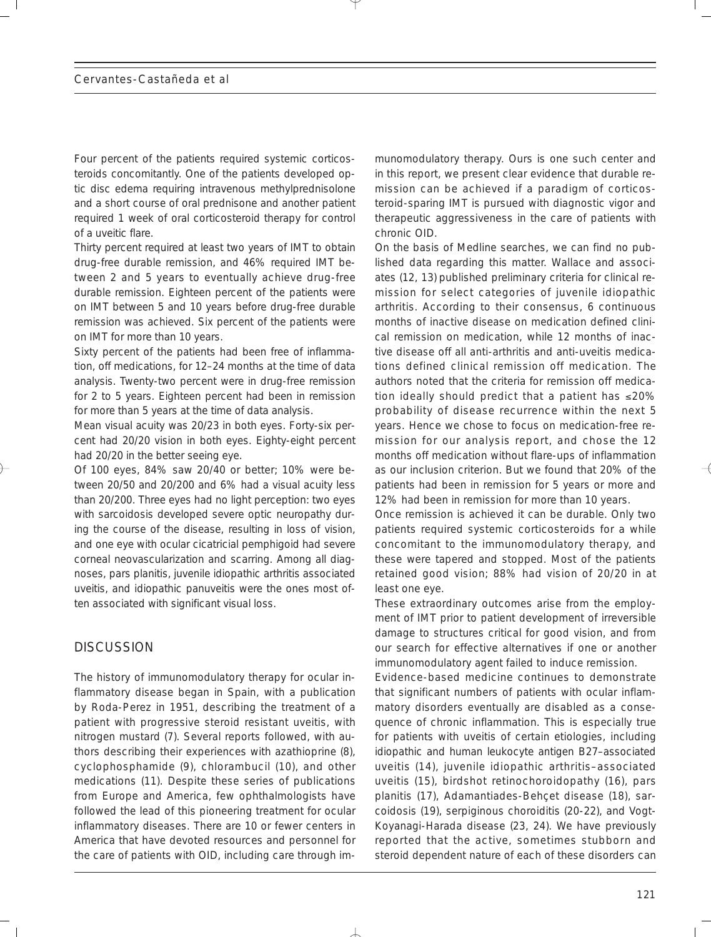Four percent of the patients required systemic corticosteroids concomitantly. One of the patients developed optic disc edema requiring intravenous methylprednisolone and a short course of oral prednisone and another patient required 1 week of oral corticosteroid therapy for control of a uveitic flare.

Thirty percent required at least two years of IMT to obtain drug-free durable remission, and 46% required IMT between 2 and 5 years to eventually achieve drug-free durable remission. Eighteen percent of the patients were on IMT between 5 and 10 years before drug-free durable remission was achieved. Six percent of the patients were on IMT for more than 10 years.

Sixty percent of the patients had been free of inflammation, off medications, for 12–24 months at the time of data analysis. Twenty-two percent were in drug-free remission for 2 to 5 years. Eighteen percent had been in remission for more than 5 years at the time of data analysis.

Mean visual acuity was 20/23 in both eyes. Forty-six percent had 20/20 vision in both eyes. Eighty-eight percent had 20/20 in the better seeing eye.

Of 100 eyes, 84% saw 20/40 or better; 10% were between 20/50 and 20/200 and 6% had a visual acuity less than 20/200. Three eyes had no light perception: two eyes with sarcoidosis developed severe optic neuropathy during the course of the disease, resulting in loss of vision, and one eye with ocular cicatricial pemphigoid had severe corneal neovascularization and scarring. Among all diagnoses, pars planitis, juvenile idiopathic arthritis associated uveitis, and idiopathic panuveitis were the ones most often associated with significant visual loss.

## **DISCUSSION**

The history of immunomodulatory therapy for ocular inflammatory disease began in Spain, with a publication by Roda-Perez in 1951, describing the treatment of a patient with progressive steroid resistant uveitis, with nitrogen mustard (7). Several reports followed, with authors describing their experiences with azathioprine (8), cyclophosphamide (9), chlorambucil (10), and other medications (11). Despite these series of publications from Europe and America, few ophthalmologists have followed the lead of this pioneering treatment for ocular inflammatory diseases. There are 10 or fewer centers in America that have devoted resources and personnel for the care of patients with OID, including care through immunomodulatory therapy. Ours is one such center and in this report, we present clear evidence that durable remission can be achieved if a paradigm of corticosteroid-sparing IMT is pursued with diagnostic vigor and therapeutic aggressiveness in the care of patients with chronic OID.

On the basis of Medline searches, we can find no published data regarding this matter. Wallace and associates (12, 13) published preliminary criteria for clinical remission for select categories of juvenile idiopathic arthritis. According to their consensus, 6 continuous months of inactive disease on medication defined clinical remission on medication, while 12 months of inactive disease off all anti-arthritis and anti-uveitis medications defined clinical remission off medication. The authors noted that the criteria for remission off medication ideally should predict that a patient has ≤20% probability of disease recurrence within the next 5 years. Hence we chose to focus on medication-free remission for our analysis report, and chose the 12 months off medication without flare-ups of inflammation as our inclusion criterion. But we found that 20% of the patients had been in remission for 5 years or more and 12% had been in remission for more than 10 years.

Once remission is achieved it can be durable. Only two patients required systemic corticosteroids for a while concomitant to the immunomodulatory therapy, and these were tapered and stopped. Most of the patients retained good vision; 88% had vision of 20/20 in at least one eye.

These extraordinary outcomes arise from the employment of IMT prior to patient development of irreversible damage to structures critical for good vision, and from our search for effective alternatives if one or another immunomodulatory agent failed to induce remission.

Evidence-based medicine continues to demonstrate that significant numbers of patients with ocular inflammatory disorders eventually are disabled as a consequence of chronic inflammation. This is especially true for patients with uveitis of certain etiologies, including idiopathic and human leukocyte antigen B27–associated uveitis (14), juvenile idiopathic arthritis–associated uveitis (15), birdshot retinochoroidopathy (16), pars planitis (17), Adamantiades-Behçet disease (18), sarcoidosis (19), serpiginous choroiditis (20-22), and Vogt-Koyanagi-Harada disease (23, 24). We have previously reported that the active, sometimes stubborn and steroid dependent nature of each of these disorders can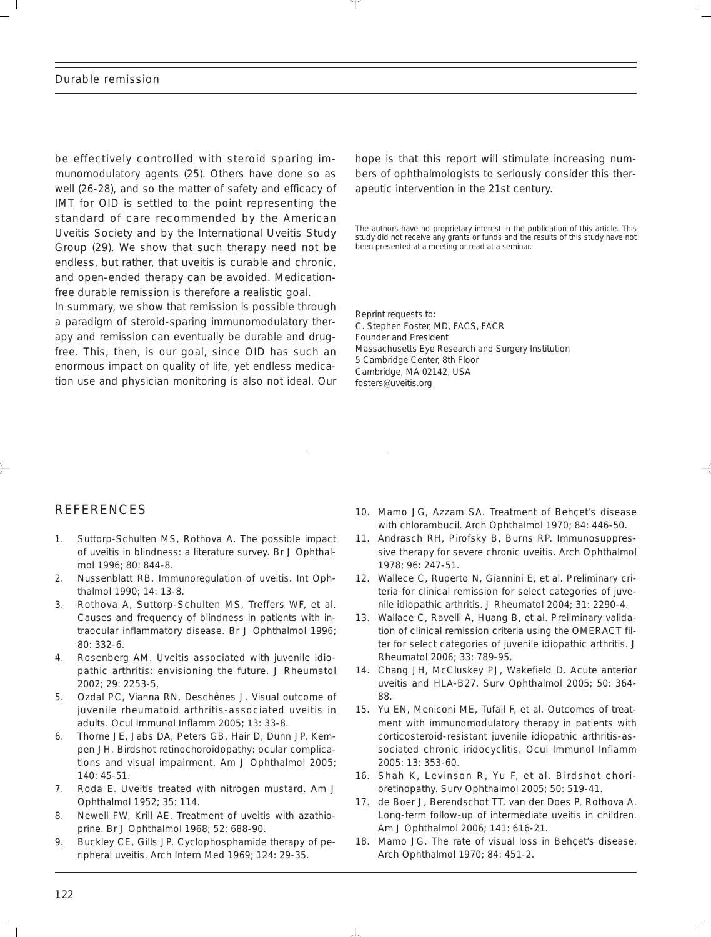be effectively controlled with steroid sparing immunomodulatory agents (25). Others have done so as well (26-28), and so the matter of safety and efficacy of IMT for OID is settled to the point representing the standard of care recommended by the American Uveitis Society and by the International Uveitis Study Group (29). We show that such therapy need not be endless, but rather, that uveitis is curable and chronic, and open-ended therapy can be avoided. Medicationfree durable remission is therefore a realistic goal.

In summary, we show that remission is possible through a paradigm of steroid-sparing immunomodulatory therapy and remission can eventually be durable and drugfree. This, then, is our goal, since OID has such an enormous impact on quality of life, yet endless medication use and physician monitoring is also not ideal. Our hope is that this report will stimulate increasing numbers of ophthalmologists to seriously consider this therapeutic intervention in the 21st century.

*The authors have no proprietary interest in the publication of this article. This study did not receive any grants or funds and the results of this study have not been presented at a meeting or read at a seminar.*

Reprint requests to: C. Stephen Foster, MD, FACS, FACR Founder and President Massachusetts Eye Research and Surgery Institution 5 Cambridge Center, 8th Floor Cambridge, MA 02142, USA fosters@uveitis.org

## REFERENCES

- 1. Suttorp-Schulten MS, Rothova A. The possible impact of uveitis in blindness: a literature survey. Br J Ophthalmol 1996; 80: 844-8.
- 2. Nussenblatt RB. Immunoregulation of uveitis. Int Ophthalmol 1990; 14: 13-8.
- 3. Rothova A, Suttorp-Schulten MS, Treffers WF, et al. Causes and frequency of blindness in patients with intraocular inflammatory disease. Br J Ophthalmol 1996; 80: 332-6.
- 4. Rosenberg AM. Uveitis associated with juvenile idiopathic arthritis: envisioning the future. J Rheumatol 2002; 29: 2253-5.
- 5. Ozdal PC, Vianna RN, Deschênes J. Visual outcome of juvenile rheumatoid arthritis-associated uveitis in adults. Ocul Immunol Inflamm 2005; 13: 33-8.
- 6. Thorne JE, Jabs DA, Peters GB, Hair D, Dunn JP, Kempen JH. Birdshot retinochoroidopathy: ocular complications and visual impairment. Am J Ophthalmol 2005; 140: 45-51.
- 7. Roda E. Uveitis treated with nitrogen mustard. Am J Ophthalmol 1952; 35: 114.
- 8. Newell FW, Krill AE. Treatment of uveitis with azathioprine. Br J Ophthalmol 1968; 52: 688-90.
- 9. Buckley CE, Gills JP. Cyclophosphamide therapy of peripheral uveitis. Arch Intern Med 1969; 124: 29-35.
- 10. Mamo JG, Azzam SA. Treatment of Behçet's disease with chlorambucil. Arch Ophthalmol 1970; 84: 446-50.
- 11. Andrasch RH, Pirofsky B, Burns RP. Immunosuppressive therapy for severe chronic uveitis. Arch Ophthalmol 1978; 96: 247-51.
- 12. Wallece C, Ruperto N, Giannini E, et al. Preliminary criteria for clinical remission for select categories of juvenile idiopathic arthritis. J Rheumatol 2004; 31: 2290-4.
- 13. Wallace C, Ravelli A, Huang B, et al. Preliminary validation of clinical remission criteria using the OMERACT filter for select categories of juvenile idiopathic arthritis. J Rheumatol 2006; 33: 789-95.
- 14. Chang JH, McCluskey PJ, Wakefield D. Acute anterior uveitis and HLA-B27. Surv Ophthalmol 2005; 50: 364- 88.
- 15. Yu EN, Meniconi ME, Tufail F, et al. Outcomes of treatment with immunomodulatory therapy in patients with corticosteroid-resistant juvenile idiopathic arthritis-associated chronic iridocyclitis. Ocul Immunol Inflamm 2005; 13: 353-60.
- 16. Shah K, Levinson R, Yu F, et al. Birdshot chorioretinopathy. Surv Ophthalmol 2005; 50: 519-41.
- 17. de Boer J, Berendschot TT, van der Does P, Rothova A. Long-term follow-up of intermediate uveitis in children. Am J Ophthalmol 2006; 141: 616-21.
- 18. Mamo JG. The rate of visual loss in Behçet's disease. Arch Ophthalmol 1970; 84: 451-2.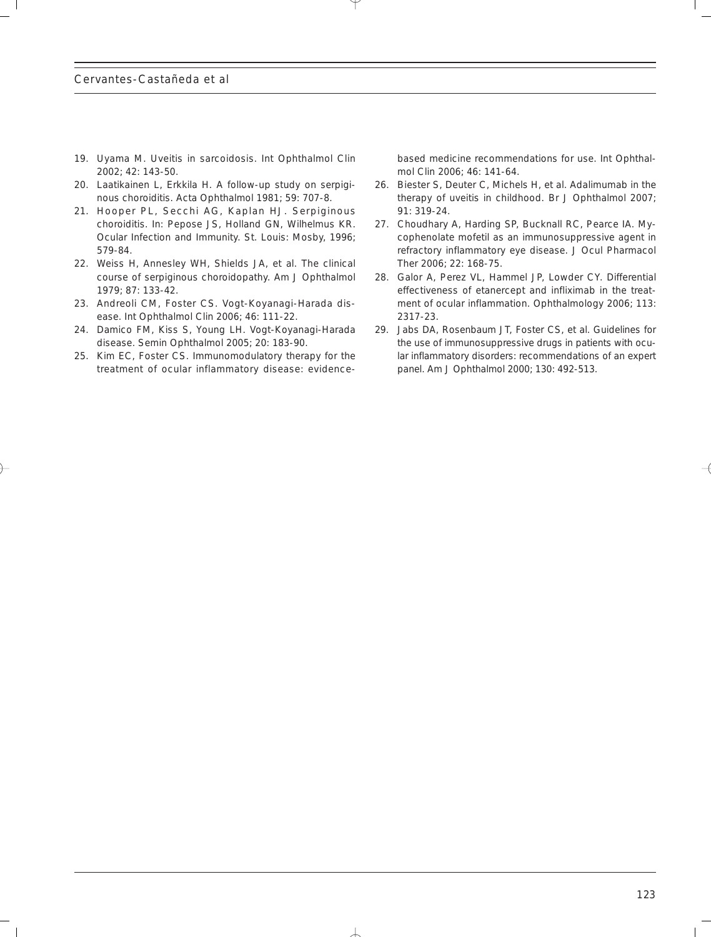- 19. Uyama M. Uveitis in sarcoidosis. Int Ophthalmol Clin 2002; 42: 143-50.
- 20. Laatikainen L, Erkkila H. A follow-up study on serpiginous choroiditis. Acta Ophthalmol 1981; 59: 707-8.
- 21. Hooper PL, Secchi AG, Kaplan HJ. Serpiginous choroiditis. In: Pepose JS, Holland GN, Wilhelmus KR. Ocular Infection and Immunity. St. Louis: Mosby, 1996; 579-84.
- 22. Weiss H, Annesley WH, Shields JA, et al. The clinical course of serpiginous choroidopathy. Am J Ophthalmol 1979; 87: 133-42.
- 23. Andreoli CM, Foster CS. Vogt-Koyanagi-Harada disease. Int Ophthalmol Clin 2006; 46: 111-22.
- 24. Damico FM, Kiss S, Young LH. Vogt-Koyanagi-Harada disease. Semin Ophthalmol 2005; 20: 183-90.
- 25. Kim EC, Foster CS. Immunomodulatory therapy for the treatment of ocular inflammatory disease: evidence-

based medicine recommendations for use. Int Ophthalmol Clin 2006; 46: 141-64.

- 26. Biester S, Deuter C, Michels H, et al. Adalimumab in the therapy of uveitis in childhood. Br J Ophthalmol 2007; 91: 319-24.
- 27. Choudhary A, Harding SP, Bucknall RC, Pearce IA. Mycophenolate mofetil as an immunosuppressive agent in refractory inflammatory eye disease. J Ocul Pharmacol Ther 2006; 22: 168-75.
- 28. Galor A, Perez VL, Hammel JP, Lowder CY. Differential effectiveness of etanercept and infliximab in the treatment of ocular inflammation. Ophthalmology 2006; 113: 2317-23.
- 29. Jabs DA, Rosenbaum JT, Foster CS, et al. Guidelines for the use of immunosuppressive drugs in patients with ocular inflammatory disorders: recommendations of an expert panel. Am J Ophthalmol 2000; 130: 492-513.